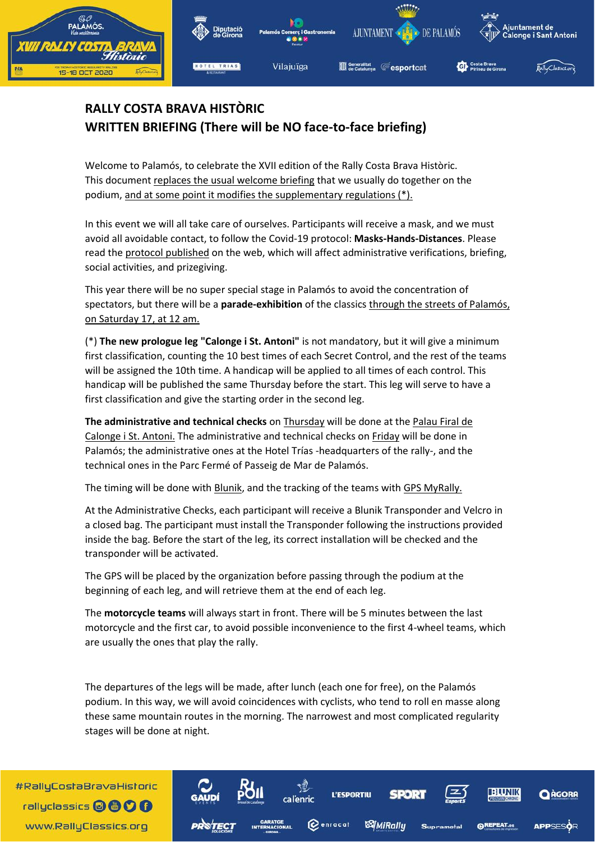

## **RALLY COSTA BRAVA HISTÒRIC WRITTEN BRIEFING (There will be NO face-to-face briefing)**

Welcome to Palamós, to celebrate the XVII edition of the Rally Costa Brava Històric. This document replaces the usual welcome briefing that we usually do together on the podium, and at some point it modifies the supplementary regulations (\*).

In this event we will all take care of ourselves. Participants will receive a mask, and we must avoid all avoidable contact, to follow the Covid-19 protocol: **Masks-Hands-Distances**. Please read the protocol published on the web, which will affect administrative verifications, briefing, social activities, and prizegiving.

This year there will be no super special stage in Palamós to avoid the concentration of spectators, but there will be a **parade-exhibition** of the classics through the streets of Palamós, on Saturday 17, at 12 am.

(\*) **The new prologue leg "Calonge i St. Antoni"** is not mandatory, but it will give a minimum first classification, counting the 10 best times of each Secret Control, and the rest of the teams will be assigned the 10th time. A handicap will be applied to all times of each control. This handicap will be published the same Thursday before the start. This leg will serve to have a first classification and give the starting order in the second leg.

**The administrative and technical checks** on Thursday will be done at the Palau Firal de Calonge i St. Antoni. The administrative and technical checks on Friday will be done in Palamós; the administrative ones at the Hotel Trías -headquarters of the rally-, and the technical ones in the Parc Fermé of Passeig de Mar de Palamós.

The timing will be done with Blunik, and the tracking of the teams with GPS MyRally.

At the Administrative Checks, each participant will receive a Blunik Transponder and Velcro in a closed bag. The participant must install the Transponder following the instructions provided inside the bag. Before the start of the leg, its correct installation will be checked and the transponder will be activated.

The GPS will be placed by the organization before passing through the podium at the beginning of each leg, and will retrieve them at the end of each leg.

The **motorcycle teams** will always start in front. There will be 5 minutes between the last motorcycle and the first car, to avoid possible inconvenience to the first 4-wheel teams, which are usually the ones that play the rally.

The departures of the legs will be made, after lunch (each one for free), on the Palamós podium. In this way, we will avoid coincidences with cyclists, who tend to roll en masse along these same mountain routes in the morning. The narrowest and most complicated regularity stages will be done at night.

a l'enric:

**L'ESPORTIU** 

*SA|MiRally* 

**Q**enracat

**EHUNIK** 

**@REPEAT.cs** 

**A** AGORF

**APPSESO** 

#RallyCostaBravaHistoric rallyclassics @ @ O O www.RallyClassics.org